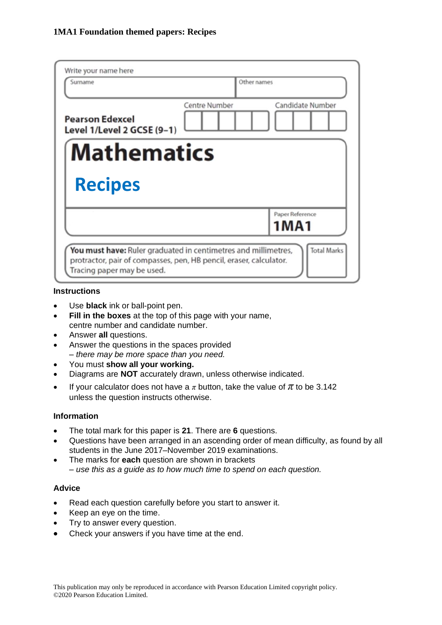| Write your name here<br>Surname                      | Other names                              |  |  |  |
|------------------------------------------------------|------------------------------------------|--|--|--|
| <b>Pearson Edexcel</b><br>Level 1/Level 2 GCSE (9-1) | Candidate Number<br><b>Centre Number</b> |  |  |  |
| <b>Mathematics</b>                                   |                                          |  |  |  |
| <b>Recipes</b>                                       |                                          |  |  |  |
|                                                      |                                          |  |  |  |
|                                                      | Paper Reference<br>1MA1                  |  |  |  |

## **Instructions**

- Use **black** ink or ball-point pen.
- **Fill in the boxes** at the top of this page with your name, centre number and candidate number.
- Answer **all** questions.
- Answer the questions in the spaces provided *– there may be more space than you need.*
- You must **show all your working.**
- Diagrams are **NOT** accurately drawn, unless otherwise indicated.
- If your calculator does not have a  $\pi$  button, take the value of  $\pi$  to be 3.142 unless the question instructs otherwise.

### **Information**

- The total mark for this paper is **21**. There are **6** questions.
- Questions have been arranged in an ascending order of mean difficulty, as found by all students in the June 2017–November 2019 examinations.
- The marks for **each** question are shown in brackets *– use this as a guide as to how much time to spend on each question.*

## **Advice**

- Read each question carefully before you start to answer it.
- Keep an eye on the time.
- Try to answer every question.
- Check your answers if you have time at the end.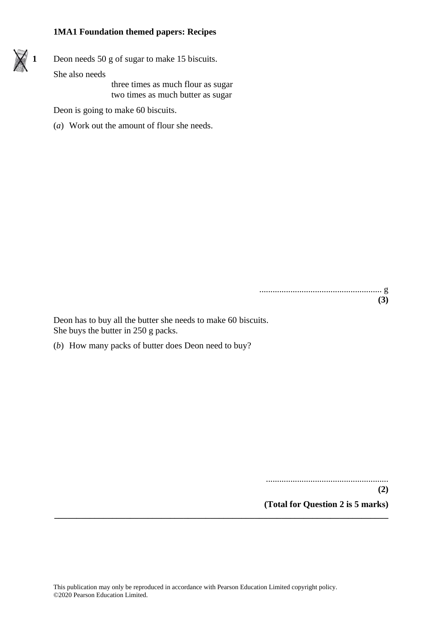

**1** Deon needs 50 g of sugar to make 15 biscuits.

She also needs

three times as much flour as sugar two times as much butter as sugar

Deon is going to make 60 biscuits.

(*a*) Work out the amount of flour she needs.

....................................................... g **(3)**

Deon has to buy all the butter she needs to make 60 biscuits. She buys the butter in 250 g packs.

(*b*) How many packs of butter does Deon need to buy?

.......................................................

**(2)**

**(Total for Question 2 is 5 marks)**

**\_\_\_\_\_\_\_\_\_\_\_\_\_\_\_\_\_\_\_\_\_\_\_\_\_\_\_\_\_\_\_\_\_\_\_\_\_\_\_\_\_\_\_\_\_\_\_\_\_\_\_\_\_\_\_\_\_\_\_\_\_\_\_\_\_\_\_\_\_\_\_\_\_\_\_**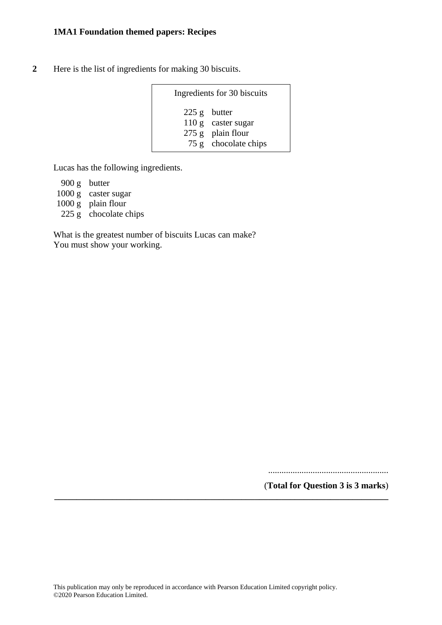**2** Here is the list of ingredients for making 30 biscuits.

| Ingredients for 30 biscuits |                                                                                     |  |  |
|-----------------------------|-------------------------------------------------------------------------------------|--|--|
|                             | $225 g$ butter<br>110 g caster sugar<br>$275$ g plain flour<br>75 g chocolate chips |  |  |

Lucas has the following ingredients.

900 g butter 1000 g caster sugar 1000 g plain flour 225 g chocolate chips

What is the greatest number of biscuits Lucas can make? You must show your working.

......................................................

(**Total for Question 3 is 3 marks**) **\_\_\_\_\_\_\_\_\_\_\_\_\_\_\_\_\_\_\_\_\_\_\_\_\_\_\_\_\_\_\_\_\_\_\_\_\_\_\_\_\_\_\_\_\_\_\_\_\_\_\_\_\_\_\_\_\_\_\_\_\_\_\_\_\_\_\_\_\_\_\_\_\_\_\_**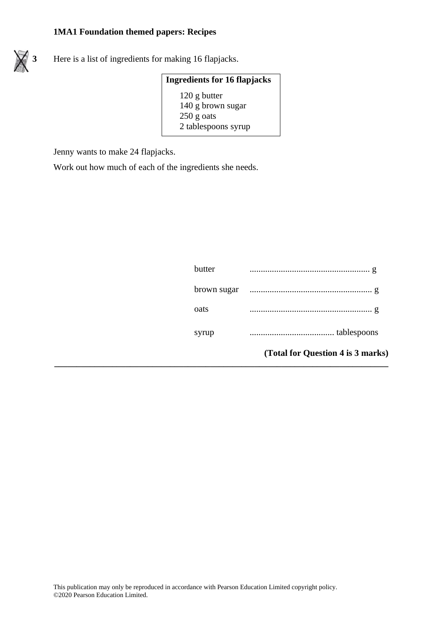

**3** Here is a list of ingredients for making 16 flapjacks.

| <b>Ingredients for 16 flapjacks</b> |  |  |
|-------------------------------------|--|--|
| $120$ g butter                      |  |  |
| 140 g brown sugar                   |  |  |
| $250$ g oats                        |  |  |
| 2 tablespoons syrup                 |  |  |

**\_\_\_\_\_\_\_\_\_\_\_\_\_\_\_\_\_\_\_\_\_\_\_\_\_\_\_\_\_\_\_\_\_\_\_\_\_\_\_\_\_\_\_\_\_\_\_\_\_\_\_\_\_\_\_\_\_\_\_\_\_\_\_\_\_\_\_\_\_\_\_\_\_\_\_**

Jenny wants to make 24 flapjacks.

Work out how much of each of the ingredients she needs.

|        | (Total for Question 4 is 3 marks) |
|--------|-----------------------------------|
| syrup  |                                   |
| oats   |                                   |
|        |                                   |
| butter |                                   |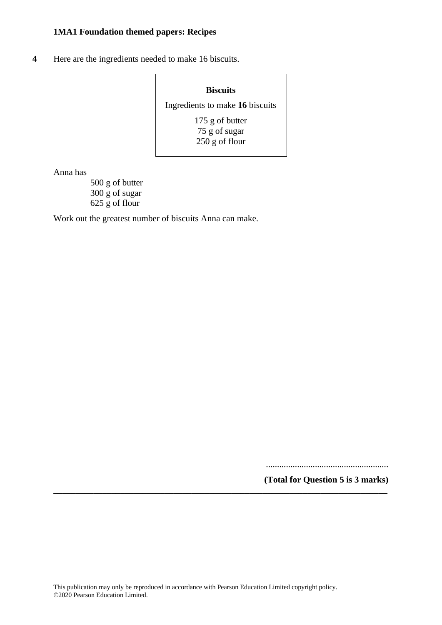**4** Here are the ingredients needed to make 16 biscuits.

#### **Biscuits**

Ingredients to make **16** biscuits

175 g of butter 75 g of sugar 250 g of flour

Anna has

500 g of butter 300 g of sugar 625 g of flour

Work out the greatest number of biscuits Anna can make.

.......................................................

**(Total for Question 5 is 3 marks)**

**\_\_\_\_\_\_\_\_\_\_\_\_\_\_\_\_\_\_\_\_\_\_\_\_\_\_\_\_\_\_\_\_\_\_\_\_\_\_\_\_\_\_\_\_\_\_\_\_\_\_\_\_\_\_\_\_\_\_\_\_\_\_\_\_\_\_\_\_\_\_\_\_\_\_\_**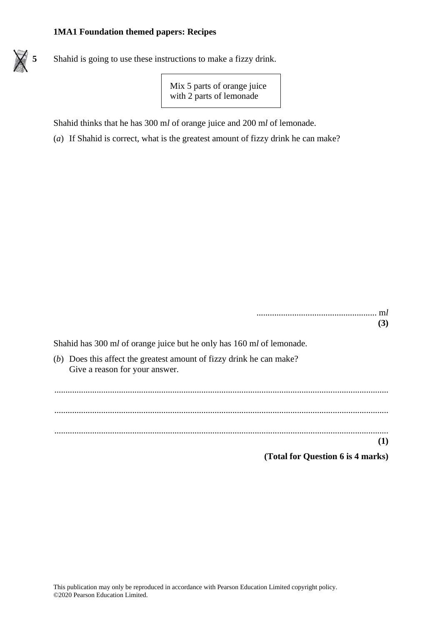

**5** Shahid is going to use these instructions to make a fizzy drink.

Mix 5 parts of orange juice with 2 parts of lemonade

Shahid thinks that he has 300 m*l* of orange juice and 200 m*l* of lemonade.

(*a*) If Shahid is correct, what is the greatest amount of fizzy drink he can make?

...................................................... m*l* **(3)**

Shahid has 300 m*l* of orange juice but he only has 160 m*l* of lemonade.

(*b*) Does this affect the greatest amount of fizzy drink he can make? Give a reason for your answer.

...................................................................................................................................................... ...................................................................................................................................................... ...................................................................................................................................................... **(1)**

**(Total for Question 6 is 4 marks)**